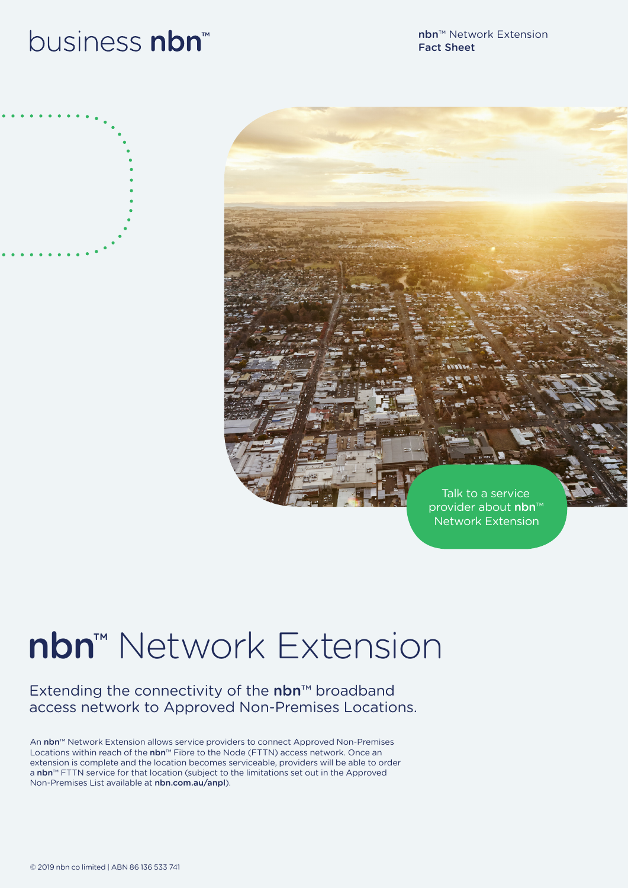## business nbn<sup>™</sup>

nbn™ Network Extension Fact Sheet





# nbn™ Network Extension

#### Extending the connectivity of the nbn™ broadband access network to Approved Non-Premises Locations.

An nbn™ Network Extension allows service providers to connect Approved Non-Premises Locations within reach of the nbn™ Fibre to the Node (FTTN) access network. Once an extension is complete and the location becomes serviceable, providers will be able to order a nbn™ FTTN service for that location (subject to the limitations set out in the Approved Non-Premises List available at nbn.com.au/anpl).